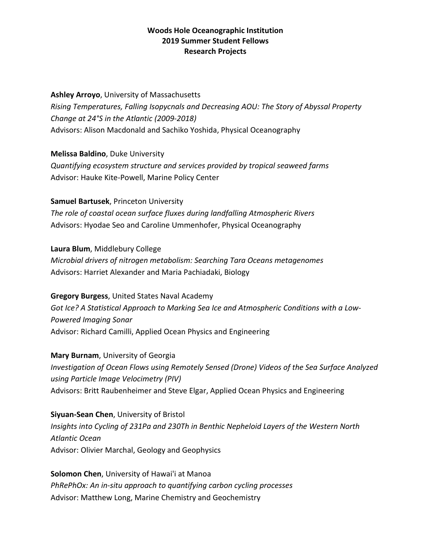## **Ashley Arroyo**, University of Massachusetts

*Rising Temperatures, Falling Isopycnals and Decreasing AOU: The Story of Abyssal Property Change at 24°S in the Atlantic (2009-2018)* Advisors: Alison Macdonald and Sachiko Yoshida, Physical Oceanography

**Melissa Baldino**, Duke University

*Quantifying ecosystem structure and services provided by tropical seaweed farms* Advisor: Hauke Kite-Powell, Marine Policy Center

**Samuel Bartusek**, Princeton University

*The role of coastal ocean surface fluxes during landfalling Atmospheric Rivers* Advisors: Hyodae Seo and Caroline Ummenhofer, Physical Oceanography

**Laura Blum**, Middlebury College

*Microbial drivers of nitrogen metabolism: Searching Tara Oceans metagenomes* Advisors: Harriet Alexander and Maria Pachiadaki, Biology

**Gregory Burgess**, United States Naval Academy *Got Ice? A Statistical Approach to Marking Sea Ice and Atmospheric Conditions with a Low-Powered Imaging Sonar* Advisor: Richard Camilli, Applied Ocean Physics and Engineering

**Mary Burnam**, University of Georgia *Investigation of Ocean Flows using Remotely Sensed (Drone) Videos of the Sea Surface Analyzed using Particle Image Velocimetry (PIV)* Advisors: Britt Raubenheimer and Steve Elgar, Applied Ocean Physics and Engineering

**Siyuan-Sean Chen**, University of Bristol *Insights into Cycling of 231Pa and 230Th in Benthic Nepheloid Layers of the Western North Atlantic Ocean* Advisor: Olivier Marchal, Geology and Geophysics

**Solomon Chen**, University of Hawai'i at Manoa *PhRePhOx: An in-situ approach to quantifying carbon cycling processes* Advisor: Matthew Long, Marine Chemistry and Geochemistry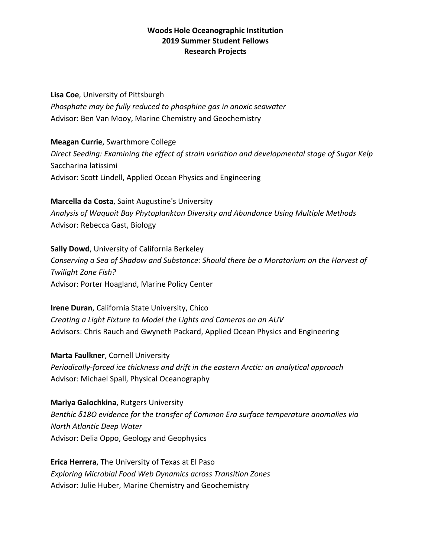**Lisa Coe**, University of Pittsburgh *Phosphate may be fully reduced to phosphine gas in anoxic seawater* Advisor: Ben Van Mooy, Marine Chemistry and Geochemistry

**Meagan Currie**, Swarthmore College *Direct Seeding: Examining the effect of strain variation and developmental stage of Sugar Kelp*  Saccharina latissimi Advisor: Scott Lindell, Applied Ocean Physics and Engineering

**Marcella da Costa**, Saint Augustine's University *Analysis of Waquoit Bay Phytoplankton Diversity and Abundance Using Multiple Methods* Advisor: Rebecca Gast, Biology

**Sally Dowd**, University of California Berkeley *Conserving a Sea of Shadow and Substance: Should there be a Moratorium on the Harvest of Twilight Zone Fish?* Advisor: Porter Hoagland, Marine Policy Center

**Irene Duran**, California State University, Chico *Creating a Light Fixture to Model the Lights and Cameras on an AUV* Advisors: Chris Rauch and Gwyneth Packard, Applied Ocean Physics and Engineering

**Marta Faulkner**, Cornell University *Periodically-forced ice thickness and drift in the eastern Arctic: an analytical approach* Advisor: Michael Spall, Physical Oceanography

**Mariya Galochkina**, Rutgers University *Benthic δ18O evidence for the transfer of Common Era surface temperature anomalies via North Atlantic Deep Water* Advisor: Delia Oppo, Geology and Geophysics

**Erica Herrera**, The University of Texas at El Paso *Exploring Microbial Food Web Dynamics across Transition Zones* Advisor: Julie Huber, Marine Chemistry and Geochemistry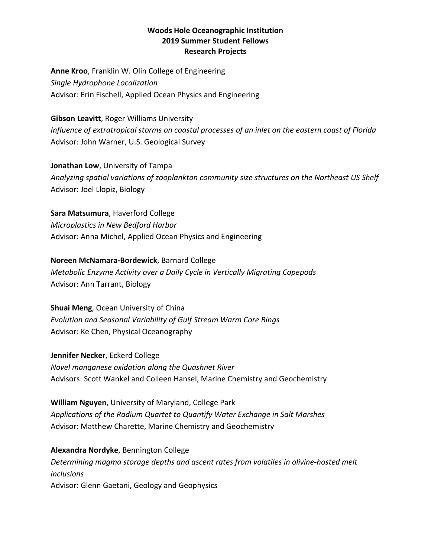**Anne Kroo**, Franklin W. Olin College of Engineering *Single Hydrophone Localization* Advisor: Erin Fischell, Applied Ocean Physics and Engineering

#### **Gibson Leavitt**, Roger Williams University

*Influence of extratropical storms on coastal processes of an inlet on the eastern coast of Florida* Advisor: John Warner, U.S. Geological Survey

**Jonathan Low**, University of Tampa

*Analyzing spatial variations of zooplankton community size structures on the Northeast US Shelf* Advisor: Joel Llopiz, Biology

**Sara Matsumura**, Haverford College

*Microplastics in New Bedford Harbor* Advisor: Anna Michel, Applied Ocean Physics and Engineering

# **Noreen McNamara-Bordewick**, Barnard College

*Metabolic Enzyme Activity over a Daily Cycle in Vertically Migrating Copepods* Advisor: Ann Tarrant, Biology

**Shuai Meng**, Ocean University of China *Evolution and Seasonal Variability of Gulf Stream Warm Core Rings* Advisor: Ke Chen, Physical Oceanography

**Jennifer Necker**, Eckerd College *Novel manganese oxidation along the Quashnet River* Advisors: Scott Wankel and Colleen Hansel, Marine Chemistry and Geochemistry

**William Nguyen**, University of Maryland, College Park *Applications of the Radium Quartet to Quantify Water Exchange in Salt Marshes* Advisor: Matthew Charette, Marine Chemistry and Geochemistry

**Alexandra Nordyke**, Bennington College *Determining magma storage depths and ascent rates from volatiles in olivine-hosted melt inclusions* Advisor: Glenn Gaetani, Geology and Geophysics